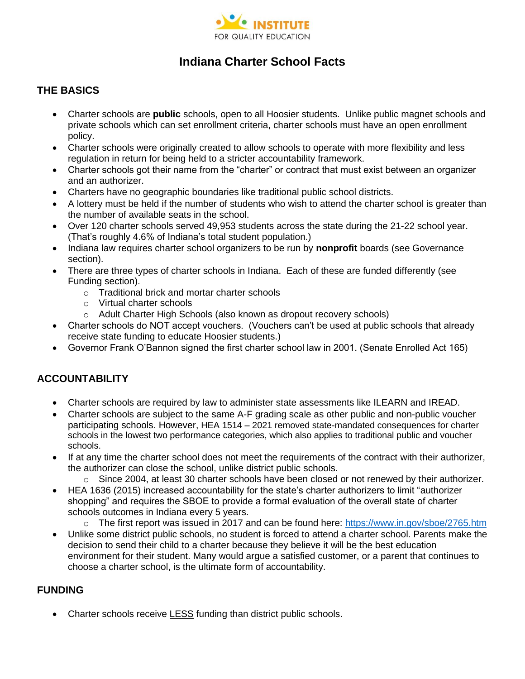

# **Indiana Charter School Facts**

#### **THE BASICS**

- Charter schools are **public** schools, open to all Hoosier students. Unlike public magnet schools and private schools which can set enrollment criteria, charter schools must have an open enrollment policy.
- Charter schools were originally created to allow schools to operate with more flexibility and less regulation in return for being held to a stricter accountability framework.
- Charter schools got their name from the "charter" or contract that must exist between an organizer and an authorizer.
- Charters have no geographic boundaries like traditional public school districts.
- A lottery must be held if the number of students who wish to attend the charter school is greater than the number of available seats in the school.
- Over 120 charter schools served 49,953 students across the state during the 21-22 school year. (That's roughly 4.6% of Indiana's total student population.)
- Indiana law requires charter school organizers to be run by **nonprofit** boards (see Governance section).
- There are three types of charter schools in Indiana. Each of these are funded differently (see Funding section).
	- o Traditional brick and mortar charter schools
	- o Virtual charter schools
	- o Adult Charter High Schools (also known as dropout recovery schools)
- Charter schools do NOT accept vouchers. (Vouchers can't be used at public schools that already receive state funding to educate Hoosier students.)
- Governor Frank O'Bannon signed the first charter school law in 2001. (Senate Enrolled Act 165)

## **ACCOUNTABILITY**

- Charter schools are required by law to administer state assessments like ILEARN and IREAD.
- Charter schools are subject to the same A-F grading scale as other public and non-public voucher participating schools. However, HEA 1514 – 2021 removed state-mandated consequences for charter schools in the lowest two performance categories, which also applies to traditional public and voucher schools.
- If at any time the charter school does not meet the requirements of the contract with their authorizer, the authorizer can close the school, unlike district public schools.
	- $\circ$  Since 2004, at least 30 charter schools have been closed or not renewed by their authorizer.
- HEA 1636 (2015) increased accountability for the state's charter authorizers to limit "authorizer shopping" and requires the SBOE to provide a formal evaluation of the overall state of charter schools outcomes in Indiana every 5 years.
	- o The first report was issued in 2017 and can be found here: <https://www.in.gov/sboe/2765.htm>
- Unlike some district public schools, no student is forced to attend a charter school. Parents make the decision to send their child to a charter because they believe it will be the best education environment for their student. Many would argue a satisfied customer, or a parent that continues to choose a charter school, is the ultimate form of accountability.

#### **FUNDING**

• Charter schools receive LESS funding than district public schools.